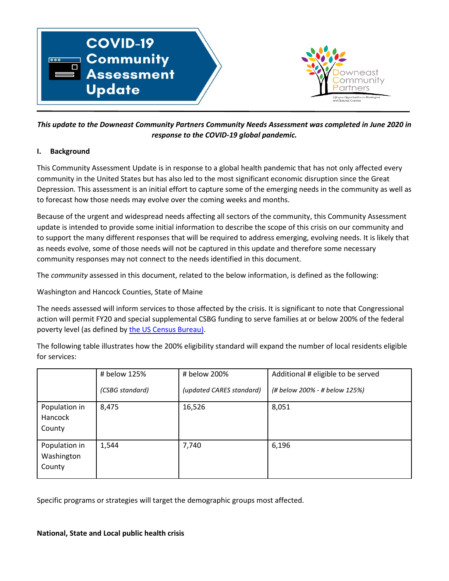

*This update to the Downeast Community Partners Community Needs Assessment was completed in June 2020 in response to the COVID-19 global pandemic.*

## **I. Background**

This Community Assessment Update is in response to a global health pandemic that has not only affected every community in the United States but has also led to the most significant economic disruption since the Great Depression. This assessment is an initial effort to capture some of the emerging needs in the community as well as to forecast how those needs may evolve over the coming weeks and months.

Because of the urgent and widespread needs affecting all sectors of the community, this Community Assessment update is intended to provide some initial information to describe the scope of this crisis on our community and to support the many different responses that will be required to address emerging, evolving needs. It is likely that as needs evolve, some of those needs will not be captured in this update and therefore some necessary community responses may not connect to the needs identified in this document.

The *community* assessed in this document, related to the below information, is defined as the following:

Washington and Hancock Counties, State of Maine

The needs assessed will inform services to those affected by the crisis. It is significant to note that Congressional action will permit FY20 and special supplemental CSBG funding to serve families at or below 200% of the federal poverty level (as defined by [the US Census Bureau\)](https://www.census.gov/data/tables/time-series/demo/income-poverty/historical-poverty-thresholds.html).

The following table illustrates how the 200% eligibility standard will expand the number of local residents eligible for services:

|                                       | # below 125%    | # below 200%             | Additional # eligible to be served |
|---------------------------------------|-----------------|--------------------------|------------------------------------|
|                                       | (CSBG standard) | (updated CARES standard) | (# below 200% - # below 125%)      |
| Population in<br>Hancock<br>County    | 8,475           | 16,526                   | 8,051                              |
| Population in<br>Washington<br>County | 1,544           | 7,740                    | 6,196                              |

Specific programs or strategies will target the demographic groups most affected.

## **National, State and Local public health crisis**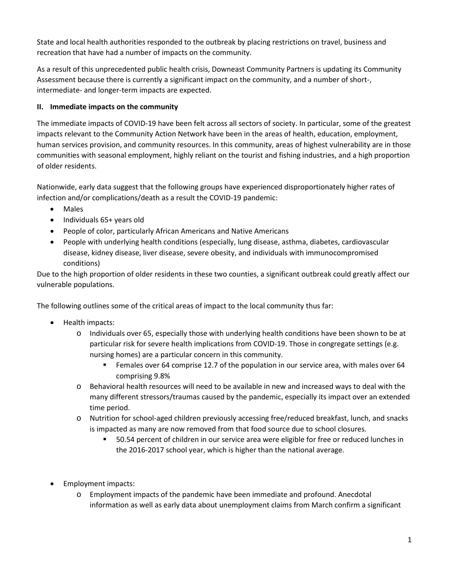State and local health authorities responded to the outbreak by placing restrictions on travel, business and recreation that have had a number of impacts on the community.

As a result of this unprecedented public health crisis, Downeast Community Partners is updating its Community Assessment because there is currently a significant impact on the community, and a number of short-, intermediate- and longer-term impacts are expected.

## **II. Immediate impacts on the community**

The immediate impacts of COVID-19 have been felt across all sectors of society. In particular, some of the greatest impacts relevant to the Community Action Network have been in the areas of health, education, employment, human services provision, and community resources. In this community, areas of highest vulnerability are in those communities with seasonal employment, highly reliant on the tourist and fishing industries, and a high proportion of older residents.

Nationwide, early data suggest that the following groups have experienced disproportionately higher rates of infection and/or complications/death as a result the COVID-19 pandemic:

- Males
- Individuals 65+ years old
- People of color, particularly African Americans and Native Americans
- People with underlying health conditions (especially, lung disease, asthma, diabetes, cardiovascular disease, kidney disease, liver disease, severe obesity, and individuals with immunocompromised conditions)

Due to the high proportion of older residents in these two counties, a significant outbreak could greatly affect our vulnerable populations.

The following outlines some of the critical areas of impact to the local community thus far:

- Health impacts:
	- o Individuals over 65, especially those with underlying health conditions have been shown to be at particular risk for severe health implications from COVID-19. Those in congregate settings (e.g. nursing homes) are a particular concern in this community.
		- **Females over 64 comprise 12.7 of the population in our service area, with males over 64** comprising 9.8%
	- o Behavioral health resources will need to be available in new and increased ways to deal with the many different stressors/traumas caused by the pandemic, especially its impact over an extended time period.
	- o Nutrition for school-aged children previously accessing free/reduced breakfast, lunch, and snacks is impacted as many are now removed from that food source due to school closures.
		- 50.54 percent of children in our service area were eligible for free or reduced lunches in the 2016-2017 school year, which is higher than the national average.
- Employment impacts:
	- o Employment impacts of the pandemic have been immediate and profound. Anecdotal information as well as early data about unemployment claims from March confirm a significant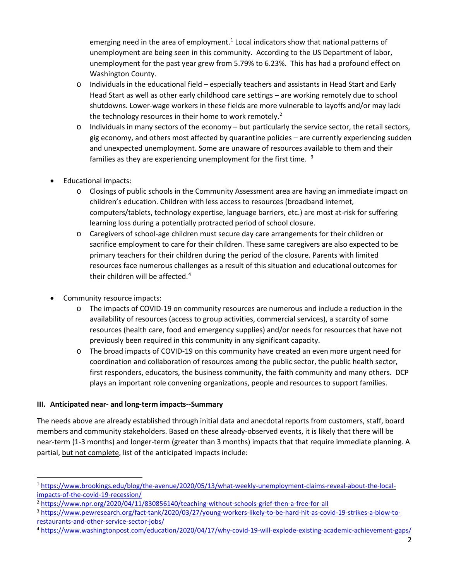emerging need in the area of employment.<sup>[1](#page-2-0)</sup> Local indicators show that national patterns of unemployment are being seen in this community. According to the US Department of labor, unemployment for the past year grew from 5.79% to 6.23%. This has had a profound effect on Washington County.

- $\circ$  Individuals in the educational field especially teachers and assistants in Head Start and Early Head Start as well as other early childhood care settings – are working remotely due to school shutdowns. Lower-wage workers in these fields are more vulnerable to layoffs and/or may lack the technology resources in their home to work remotely.<sup>[2](#page-2-1)</sup>
- $\circ$  Individuals in many sectors of the economy but particularly the service sector, the retail sectors, gig economy, and others most affected by quarantine policies – are currently experiencing sudden and unexpected unemployment. Some are unaware of resources available to them and their families as they are experiencing unemployment for the first time.  $3$
- Educational impacts:
	- o Closings of public schools in the Community Assessment area are having an immediate impact on children's education. Children with less access to resources (broadband internet, computers/tablets, technology expertise, language barriers, etc.) are most at-risk for suffering learning loss during a potentially protracted period of school closure.
	- o Caregivers of school-age children must secure day care arrangements for their children or sacrifice employment to care for their children. These same caregivers are also expected to be primary teachers for their children during the period of the closure. Parents with limited resources face numerous challenges as a result of this situation and educational outcomes for their children will be affected.<sup>[4](#page-2-3)</sup>
- Community resource impacts:
	- o The impacts of COVID-19 on community resources are numerous and include a reduction in the availability of resources (access to group activities, commercial services), a scarcity of some resources (health care, food and emergency supplies) and/or needs for resources that have not previously been required in this community in any significant capacity.
	- o The broad impacts of COVID-19 on this community have created an even more urgent need for coordination and collaboration of resources among the public sector, the public health sector, first responders, educators, the business community, the faith community and many others. DCP plays an important role convening organizations, people and resources to support families.

## **III. Anticipated near- and long-term impacts--Summary**

The needs above are already established through initial data and anecdotal reports from customers, staff, board members and community stakeholders. Based on these already-observed events, it is likely that there will be near-term (1-3 months) and longer-term (greater than 3 months) impacts that that require immediate planning. A partial, but not complete, list of the anticipated impacts include:

<span id="page-2-0"></span> <sup>1</sup> [https://www.brookings.edu/blog/the-avenue/2020/05/13/what-weekly-unemployment-claims-reveal-about-the-local](https://www.brookings.edu/blog/the-avenue/2020/05/13/what-weekly-unemployment-claims-reveal-about-the-local-impacts-of-the-covid-19-recession/)[impacts-of-the-covid-19-recession/](https://www.brookings.edu/blog/the-avenue/2020/05/13/what-weekly-unemployment-claims-reveal-about-the-local-impacts-of-the-covid-19-recession/)

<span id="page-2-1"></span><sup>2</sup> <https://www.npr.org/2020/04/11/830856140/teaching-without-schools-grief-then-a-free-for-all>

<span id="page-2-2"></span><sup>3</sup> [https://www.pewresearch.org/fact-tank/2020/03/27/young-workers-likely-to-be-hard-hit-as-covid-19-strikes-a-blow-to](https://www.pewresearch.org/fact-tank/2020/03/27/young-workers-likely-to-be-hard-hit-as-covid-19-strikes-a-blow-to-restaurants-and-other-service-sector-jobs/)[restaurants-and-other-service-sector-jobs/](https://www.pewresearch.org/fact-tank/2020/03/27/young-workers-likely-to-be-hard-hit-as-covid-19-strikes-a-blow-to-restaurants-and-other-service-sector-jobs/)

<span id="page-2-3"></span><sup>4</sup> <https://www.washingtonpost.com/education/2020/04/17/why-covid-19-will-explode-existing-academic-achievement-gaps/>